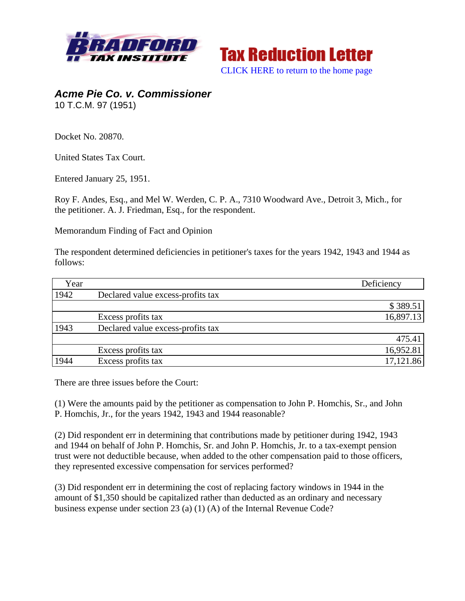



*Acme Pie Co. v. Commissioner*  10 T.C.M. 97 (1951)

Docket No. 20870.

United States Tax Court.

Entered January 25, 1951.

Roy F. Andes, Esq., and Mel W. Werden, C. P. A., 7310 Woodward Ave., Detroit 3, Mich., for the petitioner. A. J. Friedman, Esq., for the respondent.

Memorandum Finding of Fact and Opinion

The respondent determined deficiencies in petitioner's taxes for the years 1942, 1943 and 1944 as follows:

| Year |                                   | Deficiency |
|------|-----------------------------------|------------|
| 1942 | Declared value excess-profits tax |            |
|      |                                   | \$389.51   |
|      | Excess profits tax                | 16,897.13  |
| 1943 | Declared value excess-profits tax |            |
|      |                                   | 475.41     |
|      | Excess profits tax                | 16,952.81  |
| 1944 | Excess profits tax                | 17,121.86  |

There are three issues before the Court:

(1) Were the amounts paid by the petitioner as compensation to John P. Homchis, Sr., and John P. Homchis, Jr., for the years 1942, 1943 and 1944 reasonable?

(2) Did respondent err in determining that contributions made by petitioner during 1942, 1943 and 1944 on behalf of John P. Homchis, Sr. and John P. Homchis, Jr. to a tax-exempt pension trust were not deductible because, when added to the other compensation paid to those officers, they represented excessive compensation for services performed?

(3) Did respondent err in determining the cost of replacing factory windows in 1944 in the amount of \$1,350 should be capitalized rather than deducted as an ordinary and necessary business expense under section 23 (a) (1) (A) of the Internal Revenue Code?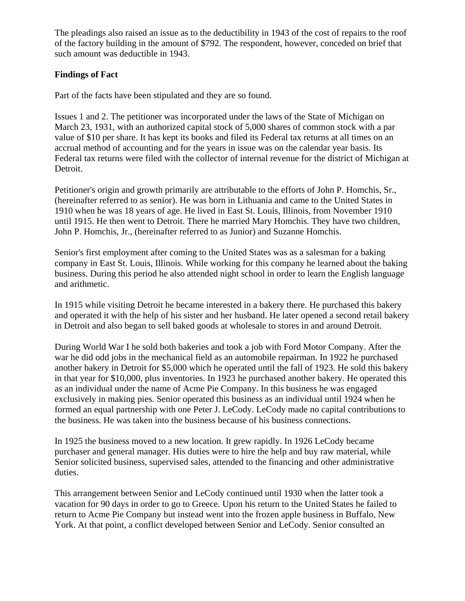The pleadings also raised an issue as to the deductibility in 1943 of the cost of repairs to the roof of the factory building in the amount of \$792. The respondent, however, conceded on brief that such amount was deductible in 1943.

## **Findings of Fact**

Part of the facts have been stipulated and they are so found.

Issues 1 and 2. The petitioner was incorporated under the laws of the State of Michigan on March 23, 1931, with an authorized capital stock of 5,000 shares of common stock with a par value of \$10 per share. It has kept its books and filed its Federal tax returns at all times on an accrual method of accounting and for the years in issue was on the calendar year basis. Its Federal tax returns were filed with the collector of internal revenue for the district of Michigan at Detroit.

Petitioner's origin and growth primarily are attributable to the efforts of John P. Homchis, Sr., (hereinafter referred to as senior). He was born in Lithuania and came to the United States in 1910 when he was 18 years of age. He lived in East St. Louis, Illinois, from November 1910 until 1915. He then went to Detroit. There he married Mary Homchis. They have two children, John P. Homchis, Jr., (hereinafter referred to as Junior) and Suzanne Homchis.

Senior's first employment after coming to the United States was as a salesman for a baking company in East St. Louis, Illinois. While working for this company he learned about the baking business. During this period he also attended night school in order to learn the English language and arithmetic.

In 1915 while visiting Detroit he became interested in a bakery there. He purchased this bakery and operated it with the help of his sister and her husband. He later opened a second retail bakery in Detroit and also began to sell baked goods at wholesale to stores in and around Detroit.

During World War I he sold both bakeries and took a job with Ford Motor Company. After the war he did odd jobs in the mechanical field as an automobile repairman. In 1922 he purchased another bakery in Detroit for \$5,000 which he operated until the fall of 1923. He sold this bakery in that year for \$10,000, plus inventories. In 1923 he purchased another bakery. He operated this as an individual under the name of Acme Pie Company. In this business he was engaged exclusively in making pies. Senior operated this business as an individual until 1924 when he formed an equal partnership with one Peter J. LeCody. LeCody made no capital contributions to the business. He was taken into the business because of his business connections.

In 1925 the business moved to a new location. It grew rapidly. In 1926 LeCody became purchaser and general manager. His duties were to hire the help and buy raw material, while Senior solicited business, supervised sales, attended to the financing and other administrative duties.

This arrangement between Senior and LeCody continued until 1930 when the latter took a vacation for 90 days in order to go to Greece. Upon his return to the United States he failed to return to Acme Pie Company but instead went into the frozen apple business in Buffalo, New York. At that point, a conflict developed between Senior and LeCody. Senior consulted an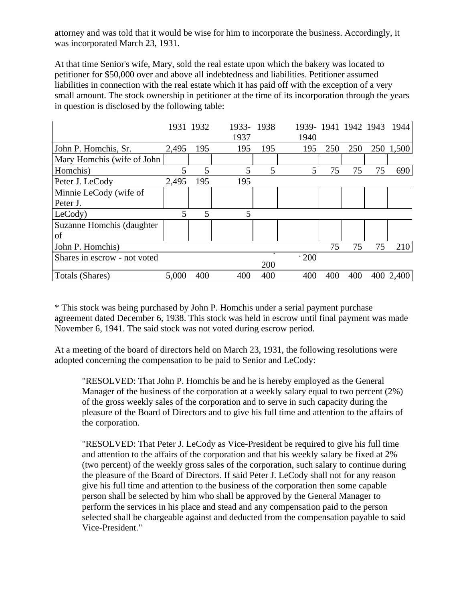attorney and was told that it would be wise for him to incorporate the business. Accordingly, it was incorporated March 23, 1931.

At that time Senior's wife, Mary, sold the real estate upon which the bakery was located to petitioner for \$50,000 over and above all indebtedness and liabilities. Petitioner assumed liabilities in connection with the real estate which it has paid off with the exception of a very small amount. The stock ownership in petitioner at the time of its incorporation through the years in question is disclosed by the following table:

|                              |       | 1931 1932 | 1933-1938<br>1937 |     | 1939-1941 1942 1943<br>1940 |     |     |    | 1944      |
|------------------------------|-------|-----------|-------------------|-----|-----------------------------|-----|-----|----|-----------|
| John P. Homchis, Sr.         | 2,495 | 195       | 195               | 195 | 195                         | 250 | 250 |    | 250 1,500 |
| Mary Homchis (wife of John   |       |           |                   |     |                             |     |     |    |           |
| Homchis)                     | 5     | 5         | 5                 | 5   | 5                           | 75  | 75  | 75 | 690       |
| Peter J. LeCody              | 2,495 | 195       | 195               |     |                             |     |     |    |           |
| Minnie LeCody (wife of       |       |           |                   |     |                             |     |     |    |           |
| Peter J.                     |       |           |                   |     |                             |     |     |    |           |
| LeCody)                      |       | 5         | 5                 |     |                             |     |     |    |           |
| Suzanne Homchis (daughter    |       |           |                   |     |                             |     |     |    |           |
| οf                           |       |           |                   |     |                             |     |     |    |           |
| John P. Homchis)             |       |           |                   |     |                             | 75  | 75  | 75 | 210       |
| Shares in escrow - not voted |       |           |                   | 200 | $*200$                      |     |     |    |           |
| Totals (Shares)              | 5,000 | 400       | 400               | 400 | 400                         | 400 | 400 |    | 400 2,400 |

\* This stock was being purchased by John P. Homchis under a serial payment purchase agreement dated December 6, 1938. This stock was held in escrow until final payment was made November 6, 1941. The said stock was not voted during escrow period.

At a meeting of the board of directors held on March 23, 1931, the following resolutions were adopted concerning the compensation to be paid to Senior and LeCody:

"RESOLVED: That John P. Homchis be and he is hereby employed as the General Manager of the business of the corporation at a weekly salary equal to two percent (2%) of the gross weekly sales of the corporation and to serve in such capacity during the pleasure of the Board of Directors and to give his full time and attention to the affairs of the corporation.

"RESOLVED: That Peter J. LeCody as Vice-President be required to give his full time and attention to the affairs of the corporation and that his weekly salary be fixed at 2% (two percent) of the weekly gross sales of the corporation, such salary to continue during the pleasure of the Board of Directors. If said Peter J. LeCody shall not for any reason give his full time and attention to the business of the corporation then some capable person shall be selected by him who shall be approved by the General Manager to perform the services in his place and stead and any compensation paid to the person selected shall be chargeable against and deducted from the compensation payable to said Vice-President."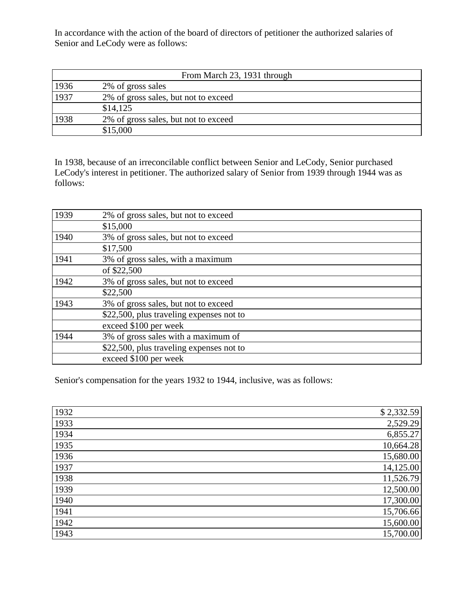In accordance with the action of the board of directors of petitioner the authorized salaries of Senior and LeCody were as follows:

| From March 23, 1931 through |                                      |  |  |
|-----------------------------|--------------------------------------|--|--|
| 1936                        | 2% of gross sales                    |  |  |
| 1937                        | 2% of gross sales, but not to exceed |  |  |
|                             | \$14,125                             |  |  |
| 1938                        | 2% of gross sales, but not to exceed |  |  |
|                             | \$15,000                             |  |  |

In 1938, because of an irreconcilable conflict between Senior and LeCody, Senior purchased LeCody's interest in petitioner. The authorized salary of Senior from 1939 through 1944 was as follows:

| 1939 | 2% of gross sales, but not to exceed     |
|------|------------------------------------------|
|      | \$15,000                                 |
| 1940 | 3% of gross sales, but not to exceed     |
|      | \$17,500                                 |
| 1941 | 3% of gross sales, with a maximum        |
|      | of \$22,500                              |
| 1942 | 3% of gross sales, but not to exceed     |
|      | \$22,500                                 |
| 1943 | 3% of gross sales, but not to exceed     |
|      | \$22,500, plus traveling expenses not to |
|      | exceed \$100 per week                    |
| 1944 | 3% of gross sales with a maximum of      |
|      | \$22,500, plus traveling expenses not to |
|      | exceed \$100 per week                    |

Senior's compensation for the years 1932 to 1944, inclusive, was as follows:

| 1932 | \$2,332.59 |
|------|------------|
| 1933 | 2,529.29   |
| 1934 | 6,855.27   |
| 1935 | 10,664.28  |
| 1936 | 15,680.00  |
| 1937 | 14,125.00  |
| 1938 | 11,526.79  |
| 1939 | 12,500.00  |
| 1940 | 17,300.00  |
| 1941 | 15,706.66  |
| 1942 | 15,600.00  |
| 1943 | 15,700.00  |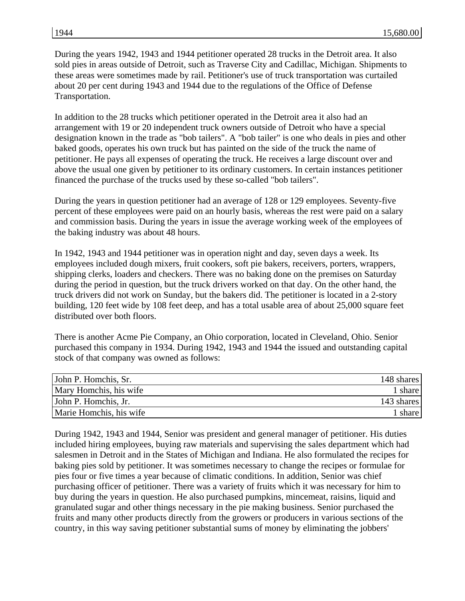During the years 1942, 1943 and 1944 petitioner operated 28 trucks in the Detroit area. It also sold pies in areas outside of Detroit, such as Traverse City and Cadillac, Michigan. Shipments to these areas were sometimes made by rail. Petitioner's use of truck transportation was curtailed about 20 per cent during 1943 and 1944 due to the regulations of the Office of Defense Transportation.

In addition to the 28 trucks which petitioner operated in the Detroit area it also had an arrangement with 19 or 20 independent truck owners outside of Detroit who have a special designation known in the trade as "bob tailers". A "bob tailer" is one who deals in pies and other baked goods, operates his own truck but has painted on the side of the truck the name of petitioner. He pays all expenses of operating the truck. He receives a large discount over and above the usual one given by petitioner to its ordinary customers. In certain instances petitioner financed the purchase of the trucks used by these so-called "bob tailers".

During the years in question petitioner had an average of 128 or 129 employees. Seventy-five percent of these employees were paid on an hourly basis, whereas the rest were paid on a salary and commission basis. During the years in issue the average working week of the employees of the baking industry was about 48 hours.

In 1942, 1943 and 1944 petitioner was in operation night and day, seven days a week. Its employees included dough mixers, fruit cookers, soft pie bakers, receivers, porters, wrappers, shipping clerks, loaders and checkers. There was no baking done on the premises on Saturday during the period in question, but the truck drivers worked on that day. On the other hand, the truck drivers did not work on Sunday, but the bakers did. The petitioner is located in a 2-story building, 120 feet wide by 108 feet deep, and has a total usable area of about 25,000 square feet distributed over both floors.

There is another Acme Pie Company, an Ohio corporation, located in Cleveland, Ohio. Senior purchased this company in 1934. During 1942, 1943 and 1944 the issued and outstanding capital stock of that company was owned as follows:

| 148 shares |
|------------|
| 1 share    |
| 143 shares |
| 1 share    |
|            |

During 1942, 1943 and 1944, Senior was president and general manager of petitioner. His duties included hiring employees, buying raw materials and supervising the sales department which had salesmen in Detroit and in the States of Michigan and Indiana. He also formulated the recipes for baking pies sold by petitioner. It was sometimes necessary to change the recipes or formulae for pies four or five times a year because of climatic conditions. In addition, Senior was chief purchasing officer of petitioner. There was a variety of fruits which it was necessary for him to buy during the years in question. He also purchased pumpkins, mincemeat, raisins, liquid and granulated sugar and other things necessary in the pie making business. Senior purchased the fruits and many other products directly from the growers or producers in various sections of the country, in this way saving petitioner substantial sums of money by eliminating the jobbers'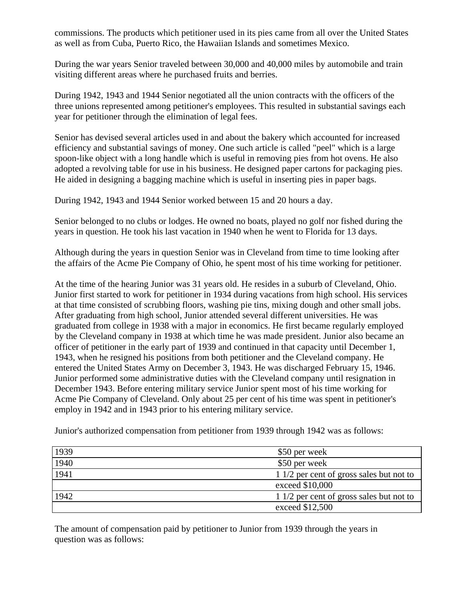commissions. The products which petitioner used in its pies came from all over the United States as well as from Cuba, Puerto Rico, the Hawaiian Islands and sometimes Mexico.

During the war years Senior traveled between 30,000 and 40,000 miles by automobile and train visiting different areas where he purchased fruits and berries.

During 1942, 1943 and 1944 Senior negotiated all the union contracts with the officers of the three unions represented among petitioner's employees. This resulted in substantial savings each year for petitioner through the elimination of legal fees.

Senior has devised several articles used in and about the bakery which accounted for increased efficiency and substantial savings of money. One such article is called "peel" which is a large spoon-like object with a long handle which is useful in removing pies from hot ovens. He also adopted a revolving table for use in his business. He designed paper cartons for packaging pies. He aided in designing a bagging machine which is useful in inserting pies in paper bags.

During 1942, 1943 and 1944 Senior worked between 15 and 20 hours a day.

Senior belonged to no clubs or lodges. He owned no boats, played no golf nor fished during the years in question. He took his last vacation in 1940 when he went to Florida for 13 days.

Although during the years in question Senior was in Cleveland from time to time looking after the affairs of the Acme Pie Company of Ohio, he spent most of his time working for petitioner.

At the time of the hearing Junior was 31 years old. He resides in a suburb of Cleveland, Ohio. Junior first started to work for petitioner in 1934 during vacations from high school. His services at that time consisted of scrubbing floors, washing pie tins, mixing dough and other small jobs. After graduating from high school, Junior attended several different universities. He was graduated from college in 1938 with a major in economics. He first became regularly employed by the Cleveland company in 1938 at which time he was made president. Junior also became an officer of petitioner in the early part of 1939 and continued in that capacity until December 1, 1943, when he resigned his positions from both petitioner and the Cleveland company. He entered the United States Army on December 3, 1943. He was discharged February 15, 1946. Junior performed some administrative duties with the Cleveland company until resignation in December 1943. Before entering military service Junior spent most of his time working for Acme Pie Company of Cleveland. Only about 25 per cent of his time was spent in petitioner's employ in 1942 and in 1943 prior to his entering military service.

| 1939 | \$50 per week                            |
|------|------------------------------------------|
| 1940 | \$50 per week                            |
| 1941 | 1 1/2 per cent of gross sales but not to |
|      | exceed \$10,000                          |
| 1942 | 1 1/2 per cent of gross sales but not to |
|      | exceed \$12,500                          |

Junior's authorized compensation from petitioner from 1939 through 1942 was as follows:

The amount of compensation paid by petitioner to Junior from 1939 through the years in question was as follows: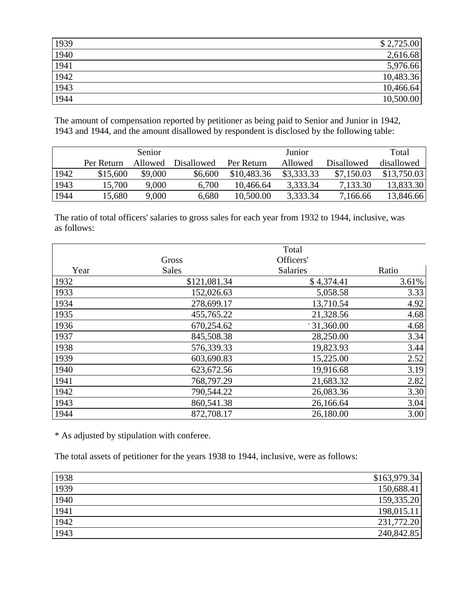| 1939                | \$2,725.00 |
|---------------------|------------|
| 1940                | 2,616.68   |
| 1941                | 5,976.66   |
| 1942                | 10,483.36  |
| $\frac{1943}{1944}$ | 10,466.64  |
|                     | 10,500.00  |

The amount of compensation reported by petitioner as being paid to Senior and Junior in 1942, 1943 and 1944, and the amount disallowed by respondent is disclosed by the following table:

|      |            | Senior  |                   |             | Junior     |                   | Total       |
|------|------------|---------|-------------------|-------------|------------|-------------------|-------------|
|      | Per Return | Allowed | <b>Disallowed</b> | Per Return  | Allowed    | <b>Disallowed</b> | disallowed  |
| 1942 | \$15,600   | \$9,000 | \$6,600           | \$10,483.36 | \$3,333,33 | \$7,150.03        | \$13,750.03 |
| 1943 | 15,700     | 9,000   | 6,700             | 10.466.64   | 3,333.34   | 7,133.30          | 13,833.30   |
| 1944 | 15,680     | 9,000   | 6,680             | 10,500.00   | 3,333.34   | 7,166.66          | 13,846.66   |

The ratio of total officers' salaries to gross sales for each year from 1932 to 1944, inclusive, was as follows:

|      |              | Total           |       |
|------|--------------|-----------------|-------|
|      | Gross        | Officers'       |       |
| Year | <b>Sales</b> | <b>Salaries</b> | Ratio |
| 1932 | \$121,081.34 | \$4,374.41      | 3.61% |
| 1933 | 152,026.63   | 5,058.58        | 3.33  |
| 1934 | 278,699.17   | 13,710.54       | 4.92  |
| 1935 | 455,765.22   | 21,328.56       | 4.68  |
| 1936 | 670,254.62   | $*31,360.00$    | 4.68  |
| 1937 | 845,508.38   | 28,250.00       | 3.34  |
| 1938 | 576,339.33   | 19,823.93       | 3.44  |
| 1939 | 603,690.83   | 15,225.00       | 2.52  |
| 1940 | 623, 672. 56 | 19,916.68       | 3.19  |
| 1941 | 768,797.29   | 21,683.32       | 2.82  |
| 1942 | 790,544.22   | 26,083.36       | 3.30  |
| 1943 | 860,541.38   | 26,166.64       | 3.04  |
| 1944 | 872,708.17   | 26,180.00       | 3.00  |

\* As adjusted by stipulation with conferee.

The total assets of petitioner for the years 1938 to 1944, inclusive, were as follows:

| 1938 | \$163,979.34 |
|------|--------------|
| 1939 | 150,688.41   |
| 1940 | 159,335.20   |
| 1941 | 198,015.11   |
| 1942 | 231,772.20   |
| 1943 | 240,842.85   |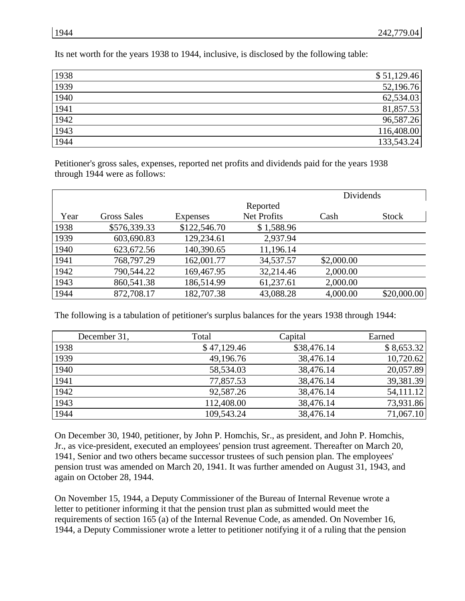Its net worth for the years 1938 to 1944, inclusive, is disclosed by the following table:

| 1938 | \$51,129.46 |
|------|-------------|
| 1939 | 52,196.76   |
| 1940 | 62,534.03   |
| 1941 | 81,857.53   |
| 1942 | 96,587.26   |
| 1943 | 116,408.00  |
| 1944 | 133,543.24  |

Petitioner's gross sales, expenses, reported net profits and dividends paid for the years 1938 through 1944 were as follows:

|      |                    |                 | Dividends          |            |              |
|------|--------------------|-----------------|--------------------|------------|--------------|
|      |                    |                 | Reported           |            |              |
| Year | <b>Gross Sales</b> | <b>Expenses</b> | <b>Net Profits</b> | Cash       | <b>Stock</b> |
| 1938 | \$576,339.33       | \$122,546.70    | \$1,588.96         |            |              |
| 1939 | 603,690.83         | 129,234.61      | 2,937.94           |            |              |
| 1940 | 623, 672. 56       | 140,390.65      | 11,196.14          |            |              |
| 1941 | 768,797.29         | 162,001.77      | 34,537.57          | \$2,000.00 |              |
| 1942 | 790,544.22         | 169,467.95      | 32,214.46          | 2,000.00   |              |
| 1943 | 860,541.38         | 186,514.99      | 61,237.61          | 2,000.00   |              |
| 1944 | 872,708.17         | 182,707.38      | 43,088.28          | 4,000.00   | \$20,000.00  |

The following is a tabulation of petitioner's surplus balances for the years 1938 through 1944:

| December 31, | Total       | Capital     | Earned     |
|--------------|-------------|-------------|------------|
| 1938         | \$47,129.46 | \$38,476.14 | \$8,653.32 |
| 1939         | 49,196.76   | 38,476.14   | 10,720.62  |
| 1940         | 58,534.03   | 38,476.14   | 20,057.89  |
| 1941         | 77,857.53   | 38,476.14   | 39,381.39  |
| 1942         | 92,587.26   | 38,476.14   | 54,111.12  |
| 1943         | 112,408.00  | 38,476.14   | 73,931.86  |
| 1944         | 109,543.24  | 38,476.14   | 71,067.10  |

On December 30, 1940, petitioner, by John P. Homchis, Sr., as president, and John P. Homchis, Jr., as vice-president, executed an employees' pension trust agreement. Thereafter on March 20, 1941, Senior and two others became successor trustees of such pension plan. The employees' pension trust was amended on March 20, 1941. It was further amended on August 31, 1943, and again on October 28, 1944.

On November 15, 1944, a Deputy Commissioner of the Bureau of Internal Revenue wrote a letter to petitioner informing it that the pension trust plan as submitted would meet the requirements of section 165 (a) of the Internal Revenue Code, as amended. On November 16, 1944, a Deputy Commissioner wrote a letter to petitioner notifying it of a ruling that the pension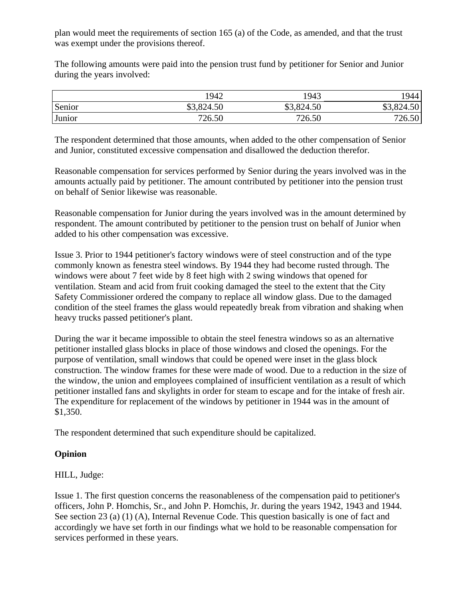plan would meet the requirements of section 165 (a) of the Code, as amended, and that the trust was exempt under the provisions thereof.

The following amounts were paid into the pension trust fund by petitioner for Senior and Junior during the years involved:

|        | 1942       | 1943       | !944       |
|--------|------------|------------|------------|
| Senior | \$3,824.50 | \$3,824.50 | \$3,824.50 |
| Junior | 726.50     | 726.50     | 726.50     |

The respondent determined that those amounts, when added to the other compensation of Senior and Junior, constituted excessive compensation and disallowed the deduction therefor.

Reasonable compensation for services performed by Senior during the years involved was in the amounts actually paid by petitioner. The amount contributed by petitioner into the pension trust on behalf of Senior likewise was reasonable.

Reasonable compensation for Junior during the years involved was in the amount determined by respondent. The amount contributed by petitioner to the pension trust on behalf of Junior when added to his other compensation was excessive.

Issue 3. Prior to 1944 petitioner's factory windows were of steel construction and of the type commonly known as fenestra steel windows. By 1944 they had become rusted through. The windows were about 7 feet wide by 8 feet high with 2 swing windows that opened for ventilation. Steam and acid from fruit cooking damaged the steel to the extent that the City Safety Commissioner ordered the company to replace all window glass. Due to the damaged condition of the steel frames the glass would repeatedly break from vibration and shaking when heavy trucks passed petitioner's plant.

During the war it became impossible to obtain the steel fenestra windows so as an alternative petitioner installed glass blocks in place of those windows and closed the openings. For the purpose of ventilation, small windows that could be opened were inset in the glass block construction. The window frames for these were made of wood. Due to a reduction in the size of the window, the union and employees complained of insufficient ventilation as a result of which petitioner installed fans and skylights in order for steam to escape and for the intake of fresh air. The expenditure for replacement of the windows by petitioner in 1944 was in the amount of \$1,350.

The respondent determined that such expenditure should be capitalized.

## **Opinion**

HILL, Judge:

Issue 1. The first question concerns the reasonableness of the compensation paid to petitioner's officers, John P. Homchis, Sr., and John P. Homchis, Jr. during the years 1942, 1943 and 1944. See section 23 (a) (1) (A), Internal Revenue Code. This question basically is one of fact and accordingly we have set forth in our findings what we hold to be reasonable compensation for services performed in these years.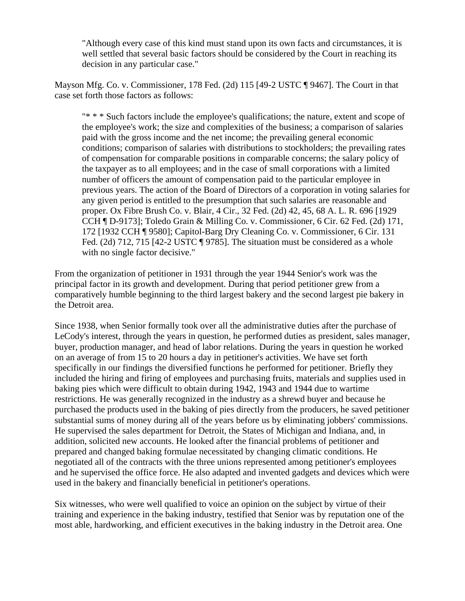"Although every case of this kind must stand upon its own facts and circumstances, it is well settled that several basic factors should be considered by the Court in reaching its decision in any particular case."

Mayson Mfg. Co. v. Commissioner, 178 Fed. (2d) 115 [49-2 USTC ¶ 9467]. The Court in that case set forth those factors as follows:

"\* \* \* Such factors include the employee's qualifications; the nature, extent and scope of the employee's work; the size and complexities of the business; a comparison of salaries paid with the gross income and the net income; the prevailing general economic conditions; comparison of salaries with distributions to stockholders; the prevailing rates of compensation for comparable positions in comparable concerns; the salary policy of the taxpayer as to all employees; and in the case of small corporations with a limited number of officers the amount of compensation paid to the particular employee in previous years. The action of the Board of Directors of a corporation in voting salaries for any given period is entitled to the presumption that such salaries are reasonable and proper. Ox Fibre Brush Co. v. Blair, 4 Cir., 32 Fed. (2d) 42, 45, 68 A. L. R. 696 [1929 CCH ¶ D-9173]; Toledo Grain & Milling Co. v. Commissioner, 6 Cir. 62 Fed. (2d) 171, 172 [1932 CCH ¶ 9580]; Capitol-Barg Dry Cleaning Co. v. Commissioner, 6 Cir. 131 Fed. (2d) 712, 715 [42-2 USTC ¶ 9785]. The situation must be considered as a whole with no single factor decisive."

From the organization of petitioner in 1931 through the year 1944 Senior's work was the principal factor in its growth and development. During that period petitioner grew from a comparatively humble beginning to the third largest bakery and the second largest pie bakery in the Detroit area.

Since 1938, when Senior formally took over all the administrative duties after the purchase of LeCody's interest, through the years in question, he performed duties as president, sales manager, buyer, production manager, and head of labor relations. During the years in question he worked on an average of from 15 to 20 hours a day in petitioner's activities. We have set forth specifically in our findings the diversified functions he performed for petitioner. Briefly they included the hiring and firing of employees and purchasing fruits, materials and supplies used in baking pies which were difficult to obtain during 1942, 1943 and 1944 due to wartime restrictions. He was generally recognized in the industry as a shrewd buyer and because he purchased the products used in the baking of pies directly from the producers, he saved petitioner substantial sums of money during all of the years before us by eliminating jobbers' commissions. He supervised the sales department for Detroit, the States of Michigan and Indiana, and, in addition, solicited new accounts. He looked after the financial problems of petitioner and prepared and changed baking formulae necessitated by changing climatic conditions. He negotiated all of the contracts with the three unions represented among petitioner's employees and he supervised the office force. He also adapted and invented gadgets and devices which were used in the bakery and financially beneficial in petitioner's operations.

Six witnesses, who were well qualified to voice an opinion on the subject by virtue of their training and experience in the baking industry, testified that Senior was by reputation one of the most able, hardworking, and efficient executives in the baking industry in the Detroit area. One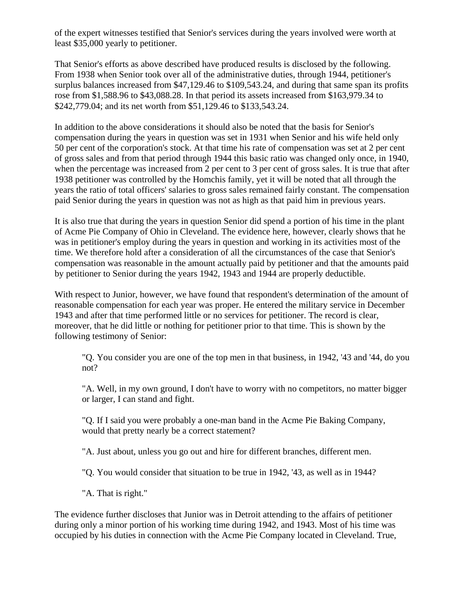of the expert witnesses testified that Senior's services during the years involved were worth at least \$35,000 yearly to petitioner.

That Senior's efforts as above described have produced results is disclosed by the following. From 1938 when Senior took over all of the administrative duties, through 1944, petitioner's surplus balances increased from \$47,129.46 to \$109,543.24, and during that same span its profits rose from \$1,588.96 to \$43,088.28. In that period its assets increased from \$163,979.34 to \$242,779.04; and its net worth from \$51,129.46 to \$133,543.24.

In addition to the above considerations it should also be noted that the basis for Senior's compensation during the years in question was set in 1931 when Senior and his wife held only 50 per cent of the corporation's stock. At that time his rate of compensation was set at 2 per cent of gross sales and from that period through 1944 this basic ratio was changed only once, in 1940, when the percentage was increased from 2 per cent to 3 per cent of gross sales. It is true that after 1938 petitioner was controlled by the Homchis family, yet it will be noted that all through the years the ratio of total officers' salaries to gross sales remained fairly constant. The compensation paid Senior during the years in question was not as high as that paid him in previous years.

It is also true that during the years in question Senior did spend a portion of his time in the plant of Acme Pie Company of Ohio in Cleveland. The evidence here, however, clearly shows that he was in petitioner's employ during the years in question and working in its activities most of the time. We therefore hold after a consideration of all the circumstances of the case that Senior's compensation was reasonable in the amount actually paid by petitioner and that the amounts paid by petitioner to Senior during the years 1942, 1943 and 1944 are properly deductible.

With respect to Junior, however, we have found that respondent's determination of the amount of reasonable compensation for each year was proper. He entered the military service in December 1943 and after that time performed little or no services for petitioner. The record is clear, moreover, that he did little or nothing for petitioner prior to that time. This is shown by the following testimony of Senior:

"Q. You consider you are one of the top men in that business, in 1942, '43 and '44, do you not?

"A. Well, in my own ground, I don't have to worry with no competitors, no matter bigger or larger, I can stand and fight.

"Q. If I said you were probably a one-man band in the Acme Pie Baking Company, would that pretty nearly be a correct statement?

"A. Just about, unless you go out and hire for different branches, different men.

"Q. You would consider that situation to be true in 1942, '43, as well as in 1944?

"A. That is right."

The evidence further discloses that Junior was in Detroit attending to the affairs of petitioner during only a minor portion of his working time during 1942, and 1943. Most of his time was occupied by his duties in connection with the Acme Pie Company located in Cleveland. True,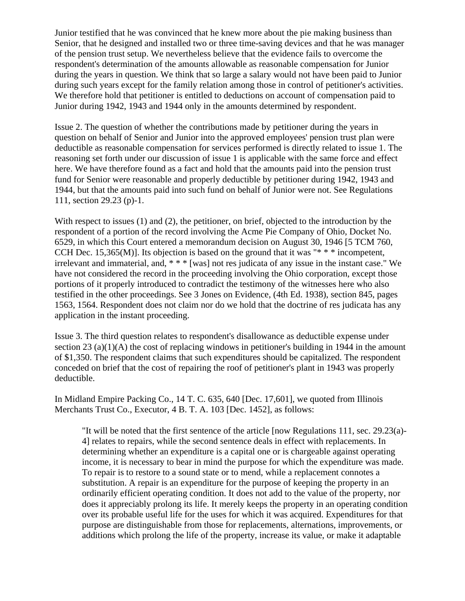Junior testified that he was convinced that he knew more about the pie making business than Senior, that he designed and installed two or three time-saving devices and that he was manager of the pension trust setup. We nevertheless believe that the evidence fails to overcome the respondent's determination of the amounts allowable as reasonable compensation for Junior during the years in question. We think that so large a salary would not have been paid to Junior during such years except for the family relation among those in control of petitioner's activities. We therefore hold that petitioner is entitled to deductions on account of compensation paid to Junior during 1942, 1943 and 1944 only in the amounts determined by respondent.

Issue 2. The question of whether the contributions made by petitioner during the years in question on behalf of Senior and Junior into the approved employees' pension trust plan were deductible as reasonable compensation for services performed is directly related to issue 1. The reasoning set forth under our discussion of issue 1 is applicable with the same force and effect here. We have therefore found as a fact and hold that the amounts paid into the pension trust fund for Senior were reasonable and properly deductible by petitioner during 1942, 1943 and 1944, but that the amounts paid into such fund on behalf of Junior were not. See Regulations 111, section 29.23 (p)-1.

With respect to issues (1) and (2), the petitioner, on brief, objected to the introduction by the respondent of a portion of the record involving the Acme Pie Company of Ohio, Docket No. 6529, in which this Court entered a memorandum decision on August 30, 1946 [5 TCM 760, CCH Dec. 15,365(M)]. Its objection is based on the ground that it was "\* \* \* incompetent, irrelevant and immaterial, and, \* \* \* [was] not res judicata of any issue in the instant case." We have not considered the record in the proceeding involving the Ohio corporation, except those portions of it properly introduced to contradict the testimony of the witnesses here who also testified in the other proceedings. See 3 Jones on Evidence, (4th Ed. 1938), section 845, pages 1563, 1564. Respondent does not claim nor do we hold that the doctrine of res judicata has any application in the instant proceeding.

Issue 3. The third question relates to respondent's disallowance as deductible expense under section 23 (a)(1)(A) the cost of replacing windows in petitioner's building in 1944 in the amount of \$1,350. The respondent claims that such expenditures should be capitalized. The respondent conceded on brief that the cost of repairing the roof of petitioner's plant in 1943 was properly deductible.

In Midland Empire Packing Co., 14 T. C. 635, 640 [Dec. 17,601], we quoted from Illinois Merchants Trust Co., Executor, 4 B. T. A. 103 [Dec. 1452], as follows:

"It will be noted that the first sentence of the article [now Regulations 111, sec. 29.23(a)- 4] relates to repairs, while the second sentence deals in effect with replacements. In determining whether an expenditure is a capital one or is chargeable against operating income, it is necessary to bear in mind the purpose for which the expenditure was made. To repair is to restore to a sound state or to mend, while a replacement connotes a substitution. A repair is an expenditure for the purpose of keeping the property in an ordinarily efficient operating condition. It does not add to the value of the property, nor does it appreciably prolong its life. It merely keeps the property in an operating condition over its probable useful life for the uses for which it was acquired. Expenditures for that purpose are distinguishable from those for replacements, alternations, improvements, or additions which prolong the life of the property, increase its value, or make it adaptable